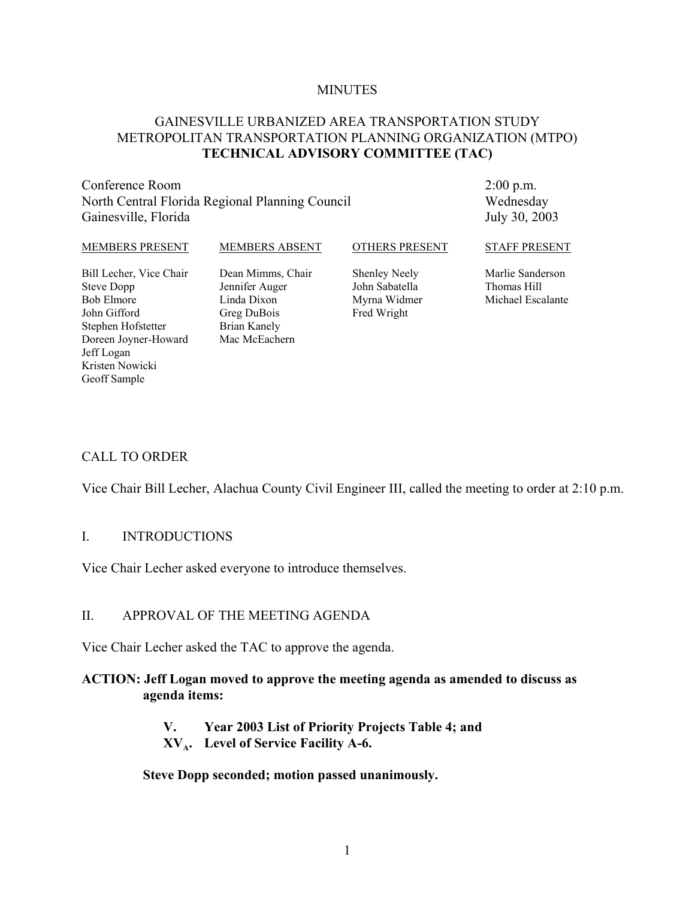#### **MINUTES**

#### GAINESVILLE URBANIZED AREA TRANSPORTATION STUDY METROPOLITAN TRANSPORTATION PLANNING ORGANIZATION (MTPO) **TECHNICAL ADVISORY COMMITTEE (TAC)**

Conference Room North Central Florida Regional Planning Council Gainesville, Florida

2:00 p.m. Wednesday July 30, 2003

#### MEMBERS PRESENT Bill Lecher, Vice Chair Steve Dopp Bob Elmore John Gifford Stephen Hofstetter Doreen Joyner-Howard Jeff Logan MEMBERS ABSENT Dean Mimms, Chair Jennifer Auger Linda Dixon Greg DuBois Brian Kanely Mac McEachern OTHERS PRESENT Shenley Neely John Sabatella Myrna Widmer Fred Wright STAFF PRESENT Marlie Sanderson Thomas Hill Michael Escalante

#### CALL TO ORDER

Kristen Nowicki Geoff Sample

Vice Chair Bill Lecher, Alachua County Civil Engineer III, called the meeting to order at 2:10 p.m.

#### I. INTRODUCTIONS

Vice Chair Lecher asked everyone to introduce themselves.

#### II. APPROVAL OF THE MEETING AGENDA

Vice Chair Lecher asked the TAC to approve the agenda.

#### **ACTION: Jeff Logan moved to approve the meeting agenda as amended to discuss as agenda items:**

- **V. Year 2003 List of Priority Projects Table 4; and**
- **XVA. Level of Service Facility A-6.**

**Steve Dopp seconded; motion passed unanimously.**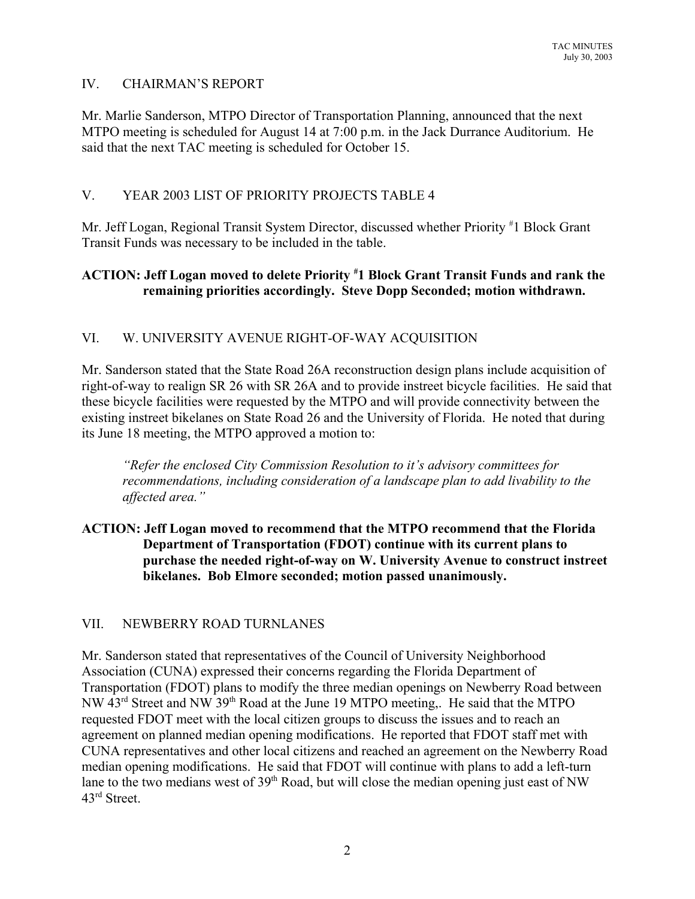# IV. CHAIRMAN'S REPORT

Mr. Marlie Sanderson, MTPO Director of Transportation Planning, announced that the next MTPO meeting is scheduled for August 14 at 7:00 p.m. in the Jack Durrance Auditorium. He said that the next TAC meeting is scheduled for October 15.

# V. YEAR 2003 LIST OF PRIORITY PROJECTS TABLE 4

Mr. Jeff Logan, Regional Transit System Director, discussed whether Priority #1 Block Grant Transit Funds was necessary to be included in the table.

# **ACTION: Jeff Logan moved to delete Priority # 1 Block Grant Transit Funds and rank the remaining priorities accordingly. Steve Dopp Seconded; motion withdrawn.**

# VI. W. UNIVERSITY AVENUE RIGHT-OF-WAY ACQUISITION

Mr. Sanderson stated that the State Road 26A reconstruction design plans include acquisition of right-of-way to realign SR 26 with SR 26A and to provide instreet bicycle facilities. He said that these bicycle facilities were requested by the MTPO and will provide connectivity between the existing instreet bikelanes on State Road 26 and the University of Florida. He noted that during its June 18 meeting, the MTPO approved a motion to:

*"Refer the enclosed City Commission Resolution to it's advisory committees for recommendations, including consideration of a landscape plan to add livability to the affected area."*

## **ACTION: Jeff Logan moved to recommend that the MTPO recommend that the Florida Department of Transportation (FDOT) continue with its current plans to purchase the needed right-of-way on W. University Avenue to construct instreet bikelanes. Bob Elmore seconded; motion passed unanimously.**

## VII. NEWBERRY ROAD TURNLANES

Mr. Sanderson stated that representatives of the Council of University Neighborhood Association (CUNA) expressed their concerns regarding the Florida Department of Transportation (FDOT) plans to modify the three median openings on Newberry Road between NW 43rd Street and NW 39th Road at the June 19 MTPO meeting,. He said that the MTPO requested FDOT meet with the local citizen groups to discuss the issues and to reach an agreement on planned median opening modifications. He reported that FDOT staff met with CUNA representatives and other local citizens and reached an agreement on the Newberry Road median opening modifications. He said that FDOT will continue with plans to add a left-turn lane to the two medians west of  $39<sup>th</sup>$  Road, but will close the median opening just east of NW 43rd Street.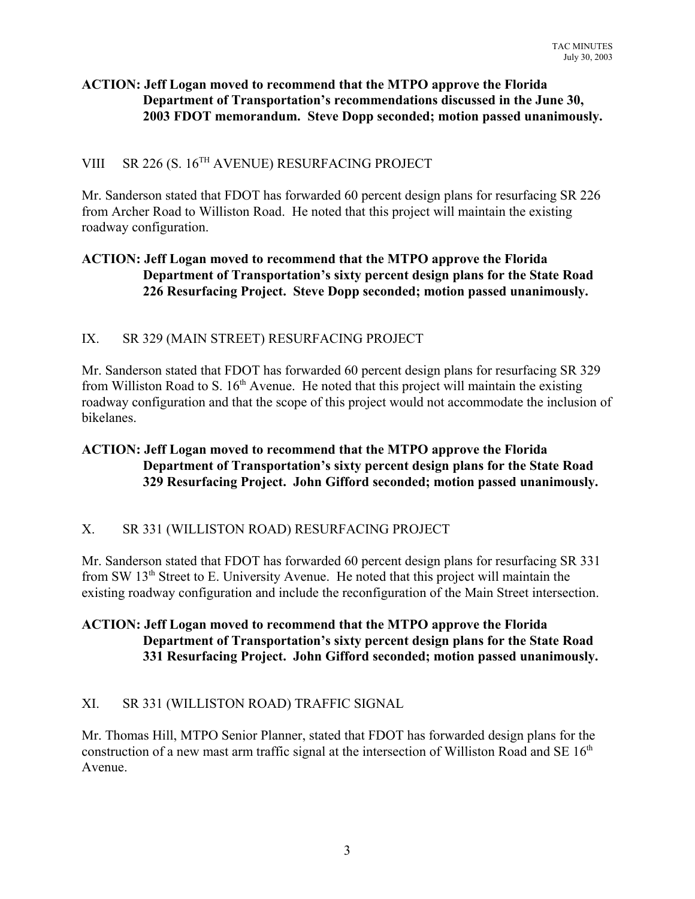## **ACTION: Jeff Logan moved to recommend that the MTPO approve the Florida Department of Transportation's recommendations discussed in the June 30, 2003 FDOT memorandum. Steve Dopp seconded; motion passed unanimously.**

# VIII SR 226 (S. 16<sup>TH</sup> AVENUE) RESURFACING PROJECT

Mr. Sanderson stated that FDOT has forwarded 60 percent design plans for resurfacing SR 226 from Archer Road to Williston Road. He noted that this project will maintain the existing roadway configuration.

## **ACTION: Jeff Logan moved to recommend that the MTPO approve the Florida Department of Transportation's sixty percent design plans for the State Road 226 Resurfacing Project. Steve Dopp seconded; motion passed unanimously.**

# IX. SR 329 (MAIN STREET) RESURFACING PROJECT

Mr. Sanderson stated that FDOT has forwarded 60 percent design plans for resurfacing SR 329 from Williston Road to S.  $16<sup>th</sup>$  Avenue. He noted that this project will maintain the existing roadway configuration and that the scope of this project would not accommodate the inclusion of bikelanes.

## **ACTION: Jeff Logan moved to recommend that the MTPO approve the Florida Department of Transportation's sixty percent design plans for the State Road 329 Resurfacing Project. John Gifford seconded; motion passed unanimously.**

## X. SR 331 (WILLISTON ROAD) RESURFACING PROJECT

Mr. Sanderson stated that FDOT has forwarded 60 percent design plans for resurfacing SR 331 from SW 13<sup>th</sup> Street to E. University Avenue. He noted that this project will maintain the existing roadway configuration and include the reconfiguration of the Main Street intersection.

## **ACTION: Jeff Logan moved to recommend that the MTPO approve the Florida Department of Transportation's sixty percent design plans for the State Road 331 Resurfacing Project. John Gifford seconded; motion passed unanimously.**

# XI. SR 331 (WILLISTON ROAD) TRAFFIC SIGNAL

Mr. Thomas Hill, MTPO Senior Planner, stated that FDOT has forwarded design plans for the construction of a new mast arm traffic signal at the intersection of Williston Road and SE  $16<sup>th</sup>$ Avenue.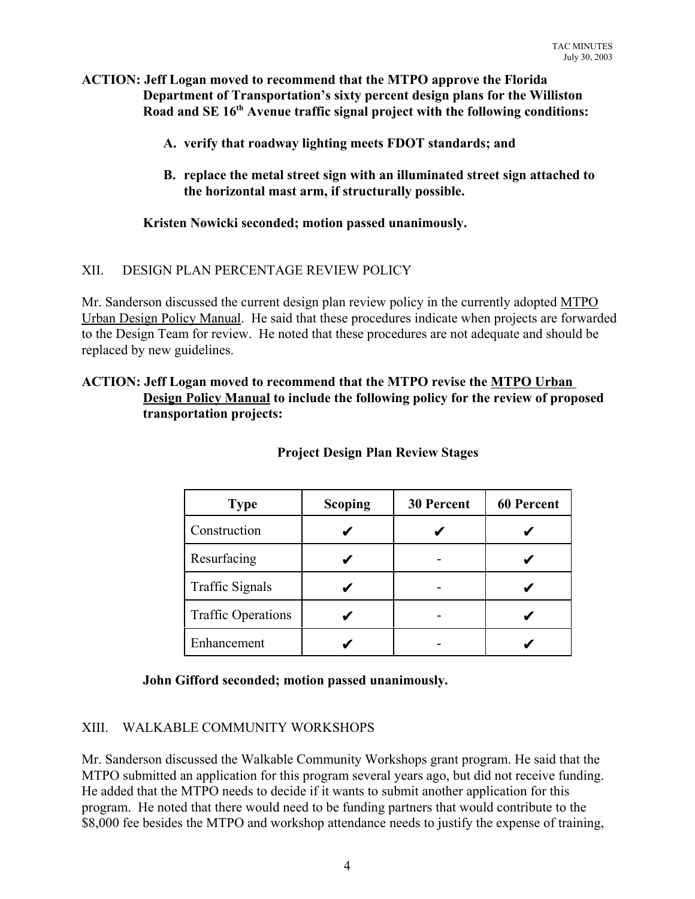#### **ACTION: Jeff Logan moved to recommend that the MTPO approve the Florida Department of Transportation's sixty percent design plans for the Williston Road and SE 16th Avenue traffic signal project with the following conditions:**

- **A. verify that roadway lighting meets FDOT standards; and**
- **B. replace the metal street sign with an illuminated street sign attached to the horizontal mast arm, if structurally possible.**

## **Kristen Nowicki seconded; motion passed unanimously.**

#### XII. DESIGN PLAN PERCENTAGE REVIEW POLICY

Mr. Sanderson discussed the current design plan review policy in the currently adopted MTPO Urban Design Policy Manual. He said that these procedures indicate when projects are forwarded to the Design Team for review. He noted that these procedures are not adequate and should be replaced by new guidelines.

#### **ACTION: Jeff Logan moved to recommend that the MTPO revise the MTPO Urban Design Policy Manual to include the following policy for the review of proposed transportation projects:**

| <b>Type</b>               | Scoping | <b>30 Percent</b> | <b>60 Percent</b> |
|---------------------------|---------|-------------------|-------------------|
| Construction              |         |                   |                   |
| Resurfacing               |         |                   |                   |
| <b>Traffic Signals</b>    |         |                   |                   |
| <b>Traffic Operations</b> |         |                   |                   |
| Enhancement               |         |                   |                   |

#### **Project Design Plan Review Stages**

#### **John Gifford seconded; motion passed unanimously.**

## XIII. WALKABLE COMMUNITY WORKSHOPS

Mr. Sanderson discussed the Walkable Community Workshops grant program. He said that the MTPO submitted an application for this program several years ago, but did not receive funding. He added that the MTPO needs to decide if it wants to submit another application for this program. He noted that there would need to be funding partners that would contribute to the \$8,000 fee besides the MTPO and workshop attendance needs to justify the expense of training,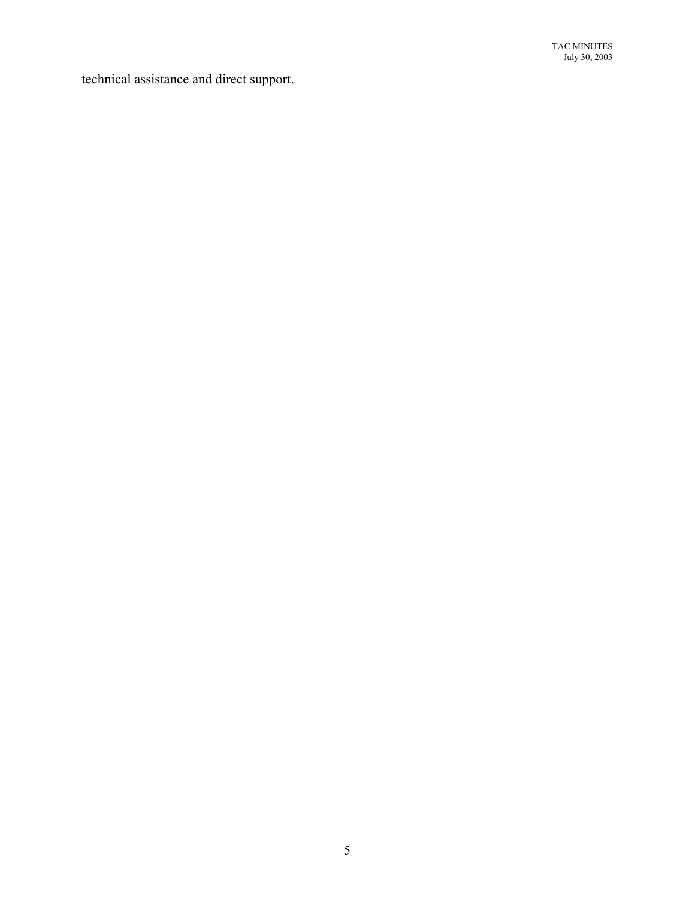technical assistance and direct support.